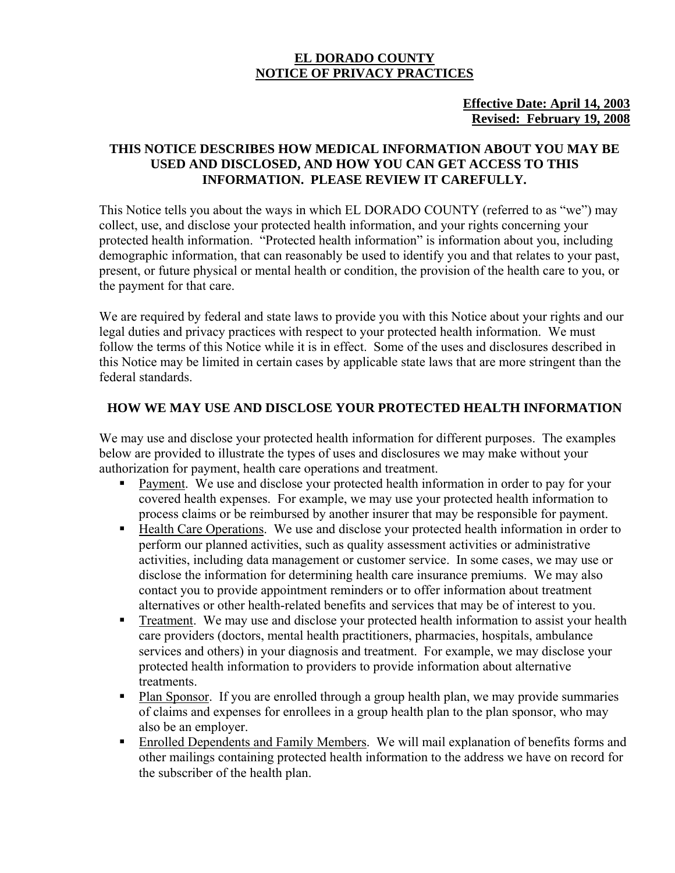#### **EL DORADO COUNTY NOTICE OF PRIVACY PRACTICES**

#### **Effective Date: April 14, 2003 Revised: February 19, 2008**

#### **THIS NOTICE DESCRIBES HOW MEDICAL INFORMATION ABOUT YOU MAY BE USED AND DISCLOSED, AND HOW YOU CAN GET ACCESS TO THIS INFORMATION. PLEASE REVIEW IT CAREFULLY.**

This Notice tells you about the ways in which EL DORADO COUNTY (referred to as "we") may collect, use, and disclose your protected health information, and your rights concerning your protected health information. "Protected health information" is information about you, including demographic information, that can reasonably be used to identify you and that relates to your past, present, or future physical or mental health or condition, the provision of the health care to you, or the payment for that care.

We are required by federal and state laws to provide you with this Notice about your rights and our legal duties and privacy practices with respect to your protected health information. We must follow the terms of this Notice while it is in effect. Some of the uses and disclosures described in this Notice may be limited in certain cases by applicable state laws that are more stringent than the federal standards.

#### **HOW WE MAY USE AND DISCLOSE YOUR PROTECTED HEALTH INFORMATION**

We may use and disclose your protected health information for different purposes. The examples below are provided to illustrate the types of uses and disclosures we may make without your authorization for payment, health care operations and treatment.

- Payment. We use and disclose your protected health information in order to pay for your covered health expenses. For example, we may use your protected health information to process claims or be reimbursed by another insurer that may be responsible for payment.
- Health Care Operations. We use and disclose your protected health information in order to perform our planned activities, such as quality assessment activities or administrative activities, including data management or customer service. In some cases, we may use or disclose the information for determining health care insurance premiums. We may also contact you to provide appointment reminders or to offer information about treatment alternatives or other health-related benefits and services that may be of interest to you.
- **Treatment.** We may use and disclose your protected health information to assist your health care providers (doctors, mental health practitioners, pharmacies, hospitals, ambulance services and others) in your diagnosis and treatment. For example, we may disclose your protected health information to providers to provide information about alternative treatments.
- Plan Sponsor. If you are enrolled through a group health plan, we may provide summaries of claims and expenses for enrollees in a group health plan to the plan sponsor, who may also be an employer.
- Enrolled Dependents and Family Members. We will mail explanation of benefits forms and other mailings containing protected health information to the address we have on record for the subscriber of the health plan.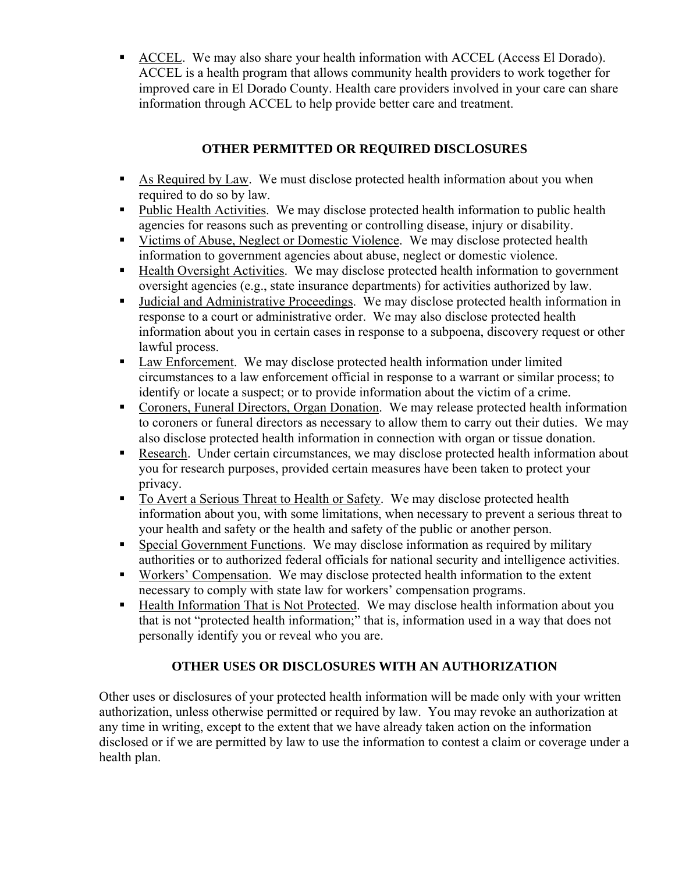ACCEL. We may also share your health information with ACCEL (Access El Dorado). ACCEL is a health program that allows community health providers to work together for improved care in El Dorado County. Health care providers involved in your care can share information through ACCEL to help provide better care and treatment.

### **OTHER PERMITTED OR REQUIRED DISCLOSURES**

- As Required by Law. We must disclose protected health information about you when required to do so by law.
- Public Health Activities. We may disclose protected health information to public health agencies for reasons such as preventing or controlling disease, injury or disability.
- Victims of Abuse, Neglect or Domestic Violence. We may disclose protected health information to government agencies about abuse, neglect or domestic violence.
- Health Oversight Activities. We may disclose protected health information to government oversight agencies (e.g., state insurance departments) for activities authorized by law.
- Judicial and Administrative Proceedings. We may disclose protected health information in response to a court or administrative order. We may also disclose protected health information about you in certain cases in response to a subpoena, discovery request or other lawful process.
- Law Enforcement. We may disclose protected health information under limited circumstances to a law enforcement official in response to a warrant or similar process; to identify or locate a suspect; or to provide information about the victim of a crime.
- Coroners, Funeral Directors, Organ Donation. We may release protected health information to coroners or funeral directors as necessary to allow them to carry out their duties. We may also disclose protected health information in connection with organ or tissue donation.
- Research. Under certain circumstances, we may disclose protected health information about you for research purposes, provided certain measures have been taken to protect your privacy.
- To Avert a Serious Threat to Health or Safety. We may disclose protected health information about you, with some limitations, when necessary to prevent a serious threat to your health and safety or the health and safety of the public or another person.
- Special Government Functions. We may disclose information as required by military authorities or to authorized federal officials for national security and intelligence activities.
- Workers' Compensation. We may disclose protected health information to the extent necessary to comply with state law for workers' compensation programs.
- Health Information That is Not Protected. We may disclose health information about you that is not "protected health information;" that is, information used in a way that does not personally identify you or reveal who you are.

### **OTHER USES OR DISCLOSURES WITH AN AUTHORIZATION**

Other uses or disclosures of your protected health information will be made only with your written authorization, unless otherwise permitted or required by law. You may revoke an authorization at any time in writing, except to the extent that we have already taken action on the information disclosed or if we are permitted by law to use the information to contest a claim or coverage under a health plan.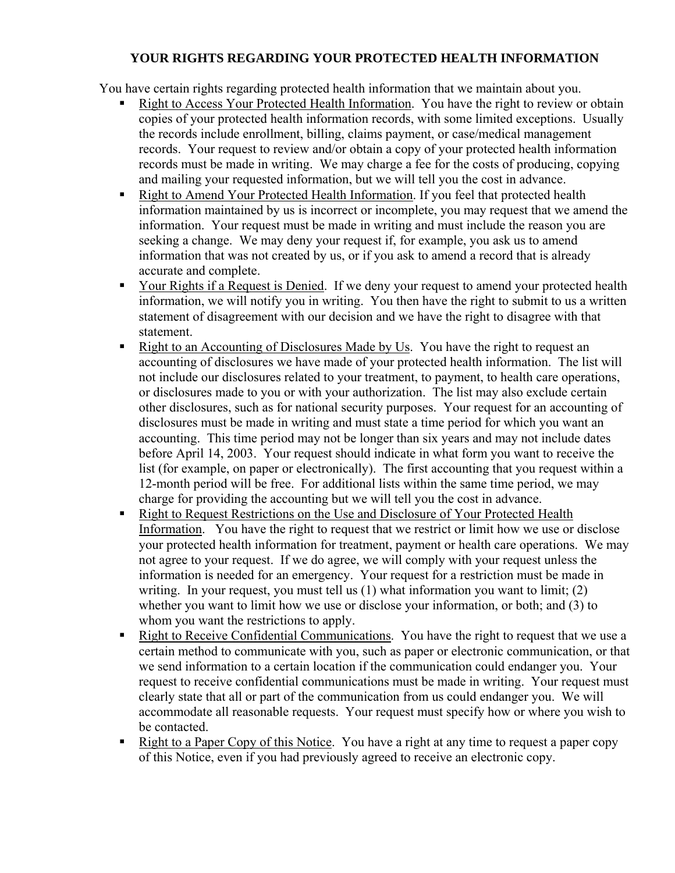### **YOUR RIGHTS REGARDING YOUR PROTECTED HEALTH INFORMATION**

You have certain rights regarding protected health information that we maintain about you.

- Right to Access Your Protected Health Information. You have the right to review or obtain copies of your protected health information records, with some limited exceptions. Usually the records include enrollment, billing, claims payment, or case/medical management records. Your request to review and/or obtain a copy of your protected health information records must be made in writing. We may charge a fee for the costs of producing, copying and mailing your requested information, but we will tell you the cost in advance.
- Right to Amend Your Protected Health Information. If you feel that protected health information maintained by us is incorrect or incomplete, you may request that we amend the information. Your request must be made in writing and must include the reason you are seeking a change. We may deny your request if, for example, you ask us to amend information that was not created by us, or if you ask to amend a record that is already accurate and complete.
- Your Rights if a Request is Denied. If we deny your request to amend your protected health information, we will notify you in writing. You then have the right to submit to us a written statement of disagreement with our decision and we have the right to disagree with that statement.
- Right to an Accounting of Disclosures Made by Us. You have the right to request an accounting of disclosures we have made of your protected health information. The list will not include our disclosures related to your treatment, to payment, to health care operations, or disclosures made to you or with your authorization. The list may also exclude certain other disclosures, such as for national security purposes. Your request for an accounting of disclosures must be made in writing and must state a time period for which you want an accounting. This time period may not be longer than six years and may not include dates before April 14, 2003. Your request should indicate in what form you want to receive the list (for example, on paper or electronically). The first accounting that you request within a 12-month period will be free. For additional lists within the same time period, we may charge for providing the accounting but we will tell you the cost in advance.
- Right to Request Restrictions on the Use and Disclosure of Your Protected Health Information. You have the right to request that we restrict or limit how we use or disclose your protected health information for treatment, payment or health care operations. We may not agree to your request. If we do agree, we will comply with your request unless the information is needed for an emergency. Your request for a restriction must be made in writing. In your request, you must tell us (1) what information you want to limit; (2) whether you want to limit how we use or disclose your information, or both; and (3) to whom you want the restrictions to apply.
- Right to Receive Confidential Communications. You have the right to request that we use a certain method to communicate with you, such as paper or electronic communication, or that we send information to a certain location if the communication could endanger you. Your request to receive confidential communications must be made in writing. Your request must clearly state that all or part of the communication from us could endanger you. We will accommodate all reasonable requests. Your request must specify how or where you wish to be contacted.
- Right to a Paper Copy of this Notice. You have a right at any time to request a paper copy of this Notice, even if you had previously agreed to receive an electronic copy.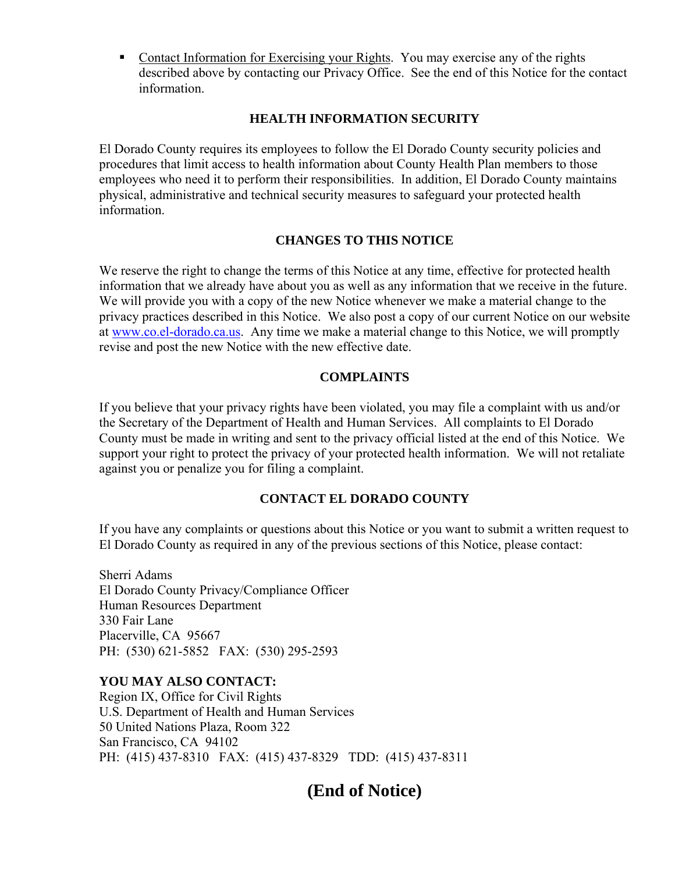• Contact Information for Exercising your Rights. You may exercise any of the rights described above by contacting our Privacy Office. See the end of this Notice for the contact information.

#### **HEALTH INFORMATION SECURITY**

El Dorado County requires its employees to follow the El Dorado County security policies and procedures that limit access to health information about County Health Plan members to those employees who need it to perform their responsibilities. In addition, El Dorado County maintains physical, administrative and technical security measures to safeguard your protected health information.

#### **CHANGES TO THIS NOTICE**

We reserve the right to change the terms of this Notice at any time, effective for protected health information that we already have about you as well as any information that we receive in the future. We will provide you with a copy of the new Notice whenever we make a material change to the privacy practices described in this Notice. We also post a copy of our current Notice on our website at www.co.el-dorado.ca.us. Any time we make a material change to this Notice, we will promptly revise and post the new Notice with the new effective date.

#### **COMPLAINTS**

If you believe that your privacy rights have been violated, you may file a complaint with us and/or the Secretary of the Department of Health and Human Services. All complaints to El Dorado County must be made in writing and sent to the privacy official listed at the end of this Notice. We support your right to protect the privacy of your protected health information. We will not retaliate against you or penalize you for filing a complaint.

#### **CONTACT EL DORADO COUNTY**

If you have any complaints or questions about this Notice or you want to submit a written request to El Dorado County as required in any of the previous sections of this Notice, please contact:

Sherri Adams El Dorado County Privacy/Compliance Officer Human Resources Department 330 Fair Lane Placerville, CA 95667 PH: (530) 621-5852 FAX: (530) 295-2593

#### **YOU MAY ALSO CONTACT:**

Region IX, Office for Civil Rights U.S. Department of Health and Human Services 50 United Nations Plaza, Room 322 San Francisco, CA 94102 PH: (415) 437-8310 FAX: (415) 437-8329 TDD: (415) 437-8311

## **(End of Notice)**